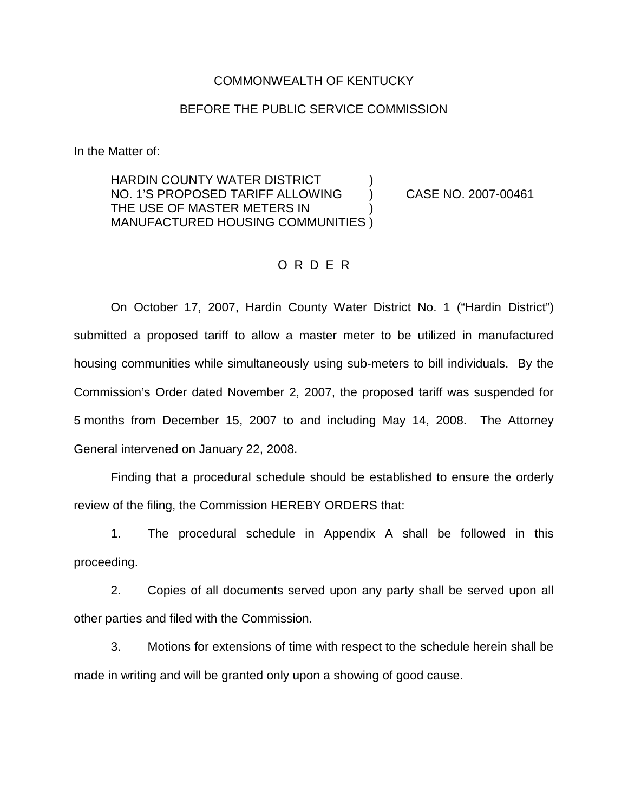#### COMMONWEALTH OF KENTUCKY

### BEFORE THE PUBLIC SERVICE COMMISSION

In the Matter of:

HARDIN COUNTY WATER DISTRICT ) NO. 1'S PROPOSED TARIFF ALLOWING ) CASE NO. 2007-00461 THE USE OF MASTER METERS IN ) MANUFACTURED HOUSING COMMUNITIES )

## O R D E R

On October 17, 2007, Hardin County Water District No. 1 ("Hardin District") submitted a proposed tariff to allow a master meter to be utilized in manufactured housing communities while simultaneously using sub-meters to bill individuals. By the Commission's Order dated November 2, 2007, the proposed tariff was suspended for 5 months from December 15, 2007 to and including May 14, 2008. The Attorney General intervened on January 22, 2008.

Finding that a procedural schedule should be established to ensure the orderly review of the filing, the Commission HEREBY ORDERS that:

1. The procedural schedule in Appendix A shall be followed in this proceeding.

2. Copies of all documents served upon any party shall be served upon all other parties and filed with the Commission.

3. Motions for extensions of time with respect to the schedule herein shall be made in writing and will be granted only upon a showing of good cause.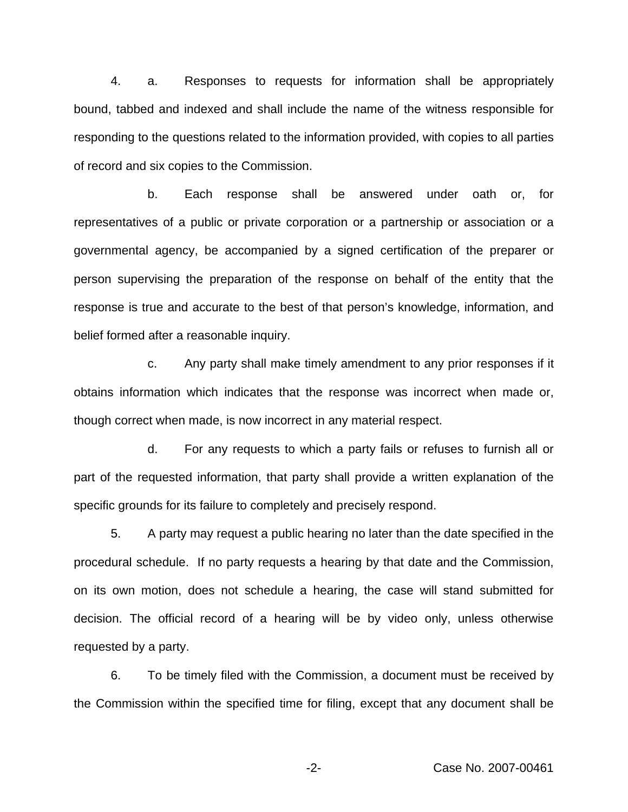4. a. Responses to requests for information shall be appropriately bound, tabbed and indexed and shall include the name of the witness responsible for responding to the questions related to the information provided, with copies to all parties of record and six copies to the Commission.

b. Each response shall be answered under oath or, for representatives of a public or private corporation or a partnership or association or a governmental agency, be accompanied by a signed certification of the preparer or person supervising the preparation of the response on behalf of the entity that the response is true and accurate to the best of that person's knowledge, information, and belief formed after a reasonable inquiry.

c. Any party shall make timely amendment to any prior responses if it obtains information which indicates that the response was incorrect when made or, though correct when made, is now incorrect in any material respect.

d. For any requests to which a party fails or refuses to furnish all or part of the requested information, that party shall provide a written explanation of the specific grounds for its failure to completely and precisely respond.

5. A party may request a public hearing no later than the date specified in the procedural schedule. If no party requests a hearing by that date and the Commission, on its own motion, does not schedule a hearing, the case will stand submitted for decision. The official record of a hearing will be by video only, unless otherwise requested by a party.

6. To be timely filed with the Commission, a document must be received by the Commission within the specified time for filing, except that any document shall be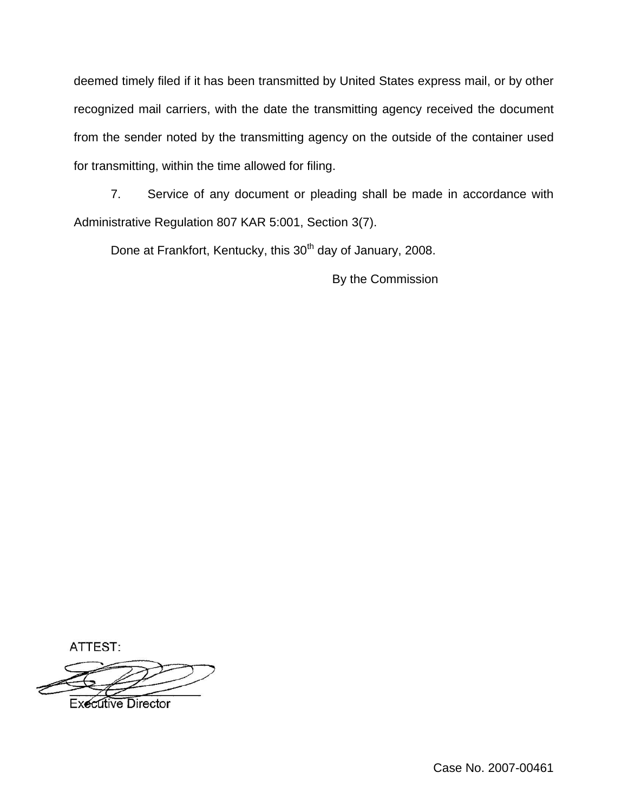deemed timely filed if it has been transmitted by United States express mail, or by other recognized mail carriers, with the date the transmitting agency received the document from the sender noted by the transmitting agency on the outside of the container used for transmitting, within the time allowed for filing.

7. Service of any document or pleading shall be made in accordance with Administrative Regulation 807 KAR 5:001, Section 3(7).

Done at Frankfort, Kentucky, this 30<sup>th</sup> day of January, 2008.

By the Commission

ATTEST:

**Executive Director** 

Case No. 2007-00461